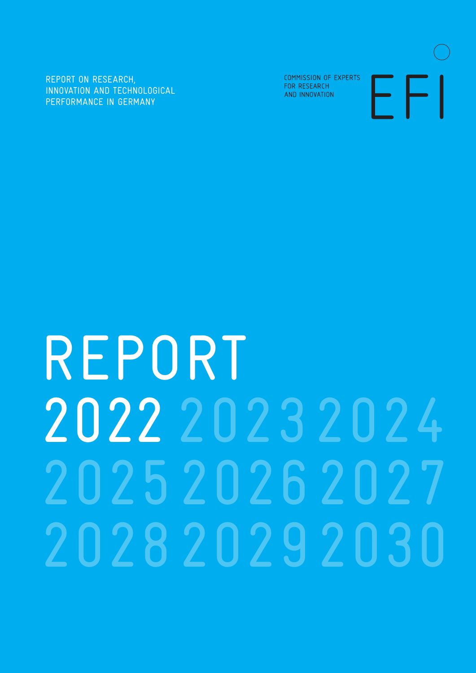REPORT ON RESEARCH, INNOVATION AND TECHNOLOGICAL PERFORMANCE IN GERMANY

COMMISSION OF EXPERTS FOR RESEARCH AND INNOVATION



# REPORT 2022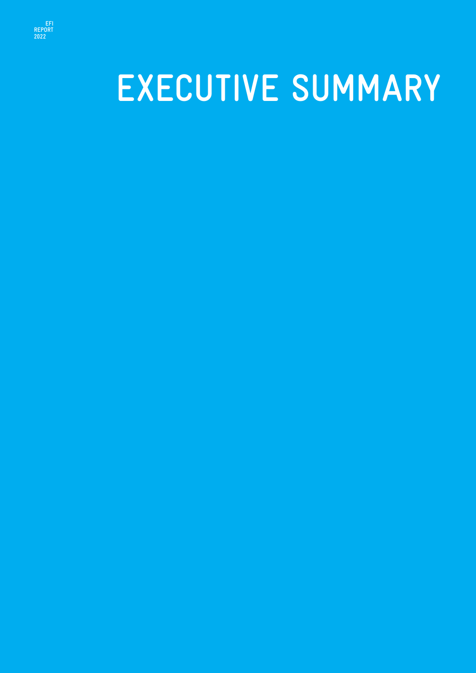

# **EXECUTIVE SUMMARY**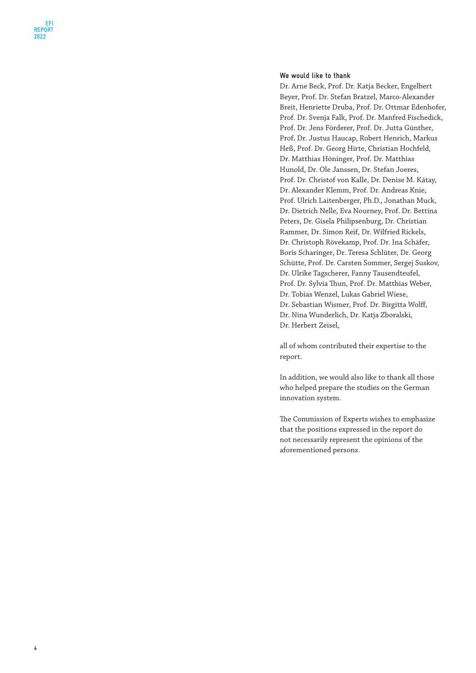#### **We would like to thank**

Dr. Arne Beck, Prof. Dr. Katja Becker, Engelbert Beyer, Prof. Dr. Stefan Bratzel, Marco-Alexander Breit, Henriette Druba, Prof. Dr. Ottmar Edenhofer, Prof. Dr. Svenja Falk, Prof. Dr. Manfred Fischedick, Prof. Dr. Jens Förderer, Prof. Dr. Jutta Günther, Prof. Dr. Justus Haucap, Robert Henrich, Markus Heß, Prof. Dr. Georg Hirte, Christian Hochfeld, Dr. Matthias Höninger, Prof. Dr. Matthias Hunold, Dr. Ole Janssen, Dr. Stefan Joeres, Prof. Dr. Christof von Kalle, Dr. Denise M. Kátay, Dr. Alexander Klemm, Prof. Dr. Andreas Knie, Prof. Ulrich Laitenberger, Ph.D., Jonathan Muck, Dr. Dietrich Nelle, Eva Nourney, Prof. Dr. Bettina Peters, Dr. Gisela Philipsenburg, Dr. Christian Rammer, Dr. Simon Reif, Dr. Wilfried Rickels, Dr. Christoph Rövekamp, Prof. Dr. Ina Schäfer, Boris Scharinger, Dr. Teresa Schlüter, Dr. Georg Schütte, Prof. Dr. Carsten Sommer, Sergej Suskov, Dr. Ulrike Tagscherer, Fanny Tausendteufel, Prof. Dr. Sylvia Thun, Prof. Dr. Matthias Weber, Dr. Tobias Wenzel, Lukas Gabriel Wiese, Dr. Sebastian Wismer, Prof. Dr. Birgitta Wolff, Dr. Nina Wunderlich, Dr. Katja Zboralski, Dr. Herbert Zeisel,

all of whom contributed their expertise to the report.

In addition, we would also like to thank all those who helped prepare the studies on the German innovation system.

The Commission of Experts wishes to emphasize that the positions expressed in the report do not necessarily represent the opinions of the aforementioned persons.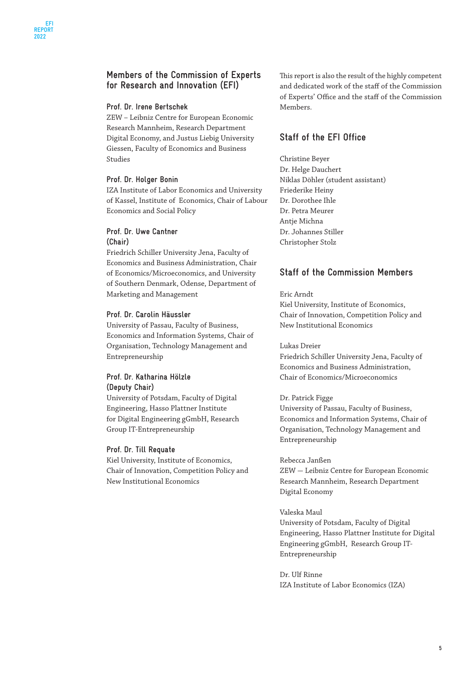#### **Members of the Commission of Experts for Research and Innovation (EFI)**

#### **Prof. Dr. Irene Bertschek**

ZEW – Leibniz Centre for European Economic Research Mannheim, Research Department Digital Economy, and Justus Liebig University Giessen, Faculty of Economics and Business Studies

#### **Prof. Dr. Holger Bonin**

IZA Institute of Labor Economics and University of Kassel, Institute of Economics, Chair of Labour Economics and Social Policy

#### **Prof. Dr. Uwe Cantner (Chair)**

Friedrich Schiller University Jena, Faculty of Economics and Business Administration, Chair of Economics/Microeconomics, and University of Southern Denmark, Odense, Department of Marketing and Management

#### **Prof. Dr. Carolin Häussler**

University of Passau, Faculty of Business, Economics and Information Systems, Chair of Organisation, Technology Management and Entrepreneurship

#### **Prof. Dr. Katharina Hölzle (Deputy Chair)**

University of Potsdam, Faculty of Digital Engineering, Hasso Plattner Institute for Digital Engineering gGmbH, Research Group IT-Entrepreneurship

#### **Prof. Dr. Till Requate**

Kiel University, Institute of Economics, Chair of Innovation, Competition Policy and New Institutional Economics

This report is also the result of the highly competent and dedicated work of the staff of the Commission of Experts' Office and the staff of the Commission Members.

#### **Staff of the EFI Office**

Christine Beyer Dr. Helge Dauchert Niklas Döhler (student assistant) Friederike Heiny Dr. Dorothee Ihle Dr. Petra Meurer Antje Michna Dr. Johannes Stiller Christopher Stolz

#### **Staff of the Commission Members**

Eric Arndt Kiel University, Institute of Economics, Chair of Innovation, Competition Policy and New Institutional Economics

#### Lukas Dreier

Friedrich Schiller University Jena, Faculty of Economics and Business Administration, Chair of Economics/Microeconomics

#### Dr. Patrick Figge

University of Passau, Faculty of Business, Economics and Information Systems, Chair of Organisation, Technology Management and Entrepreneurship

#### Rebecca Janßen

ZEW – Leibniz Centre for European Economic Research Mannheim, Research Department Digital Economy

#### Valeska Maul

University of Potsdam, Faculty of Digital Engineering, Hasso Plattner Institute for Digital Engineering gGmbH, Research Group IT-Entrepreneurship

Dr. Ulf Rinne IZA Institute of Labor Economics (IZA)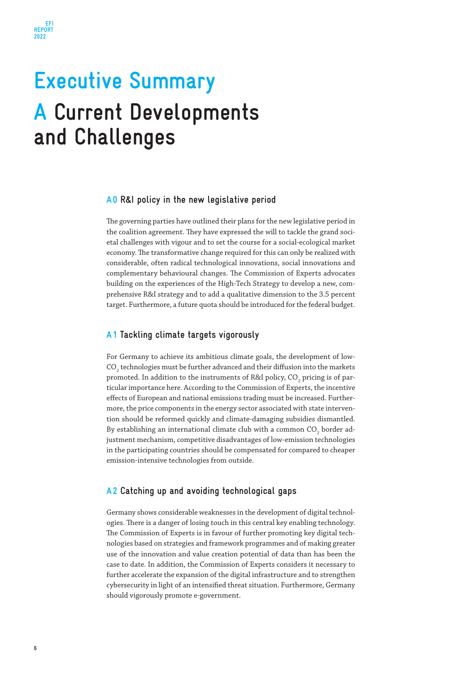## **Executive Summary A Current Developments and Challenges**

#### **A0 R&I policy in the new legislative period**

The governing parties have outlined their plans for the new legislative period in the coalition agreement. They have expressed the will to tackle the grand societal challenges with vigour and to set the course for a social-ecological market economy. The transformative change required for this can only be realized with considerable, often radical technological innovations, social innovations and complementary behavioural changes. The Commission of Experts advocates building on the experiences of the High-Tech Strategy to develop a new, comprehensive R&I strategy and to add a qualitative dimension to the 3.5 percent target. Furthermore, a future quota should be introduced for the federal budget.

#### **A1 Tackling climate targets vigorously**

For Germany to achieve its ambitious climate goals, the development of low- $\mathrm{CO}_2$  technologies must be further advanced and their diffusion into the markets promoted. In addition to the instruments of R&I policy, CO $_{_2}$  pricing is of particular importance here. According to the Commission of Experts, the incentive effects of European and national emissions trading must be increased. Furthermore, the price components in the energy sector associated with state intervention should be reformed quickly and climate-damaging subsidies dismantled. By establishing an international climate club with a common  $\mathrm{CO}_2$  border adjustment mechanism, competitive disadvantages of low-emission technologies in the participating countries should be compensated for compared to cheaper emission-intensive technologies from outside.

#### **A2 Catching up and avoiding technological gaps**

Germany shows considerable weaknesses in the development of digital technologies. There is a danger of losing touch in this central key enabling technology. The Commission of Experts is in favour of further promoting key digital technologies based on strategies and framework programmes and of making greater use of the innovation and value creation potential of data than has been the case to date. In addition, the Commission of Experts considers it necessary to further accelerate the expansion of the digital infrastructure and to strengthen cybersecurity in light of an intensified threat situation. Furthermore, Germany should vigorously promote e-government.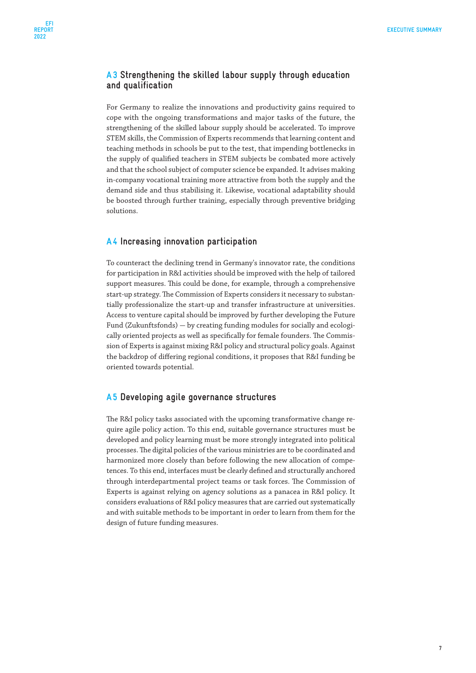#### **A3 Strengthening the skilled labour supply through education and qualification**

For Germany to realize the innovations and productivity gains required to cope with the ongoing transformations and major tasks of the future, the strengthening of the skilled labour supply should be accelerated. To improve STEM skills, the Commission of Experts recommends that learning content and teaching methods in schools be put to the test, that impending bottlenecks in the supply of qualified teachers in STEM subjects be combated more actively and that the school subject of computer science be expanded. It advises making in-company vocational training more attractive from both the supply and the demand side and thus stabilising it. Likewise, vocational adaptability should be boosted through further training, especially through preventive bridging solutions.

#### **A4 Increasing innovation participation**

To counteract the declining trend in Germany's innovator rate, the conditions for participation in R&I activities should be improved with the help of tailored support measures. This could be done, for example, through a comprehensive start-up strategy. The Commission of Experts considers it necessary to substantially professionalize the start-up and transfer infrastructure at universities. Access to venture capital should be improved by further developing the Future Fund (Zukunftsfonds) – by creating funding modules for socially and ecologically oriented projects as well as specifically for female founders. The Commission of Experts is against mixing R&I policy and structural policy goals. Against the backdrop of differing regional conditions, it proposes that R&I funding be oriented towards potential.

#### **A5 Developing agile governance structures**

The R&I policy tasks associated with the upcoming transformative change require agile policy action. To this end, suitable governance structures must be developed and policy learning must be more strongly integrated into political processes. The digital policies of the various ministries are to be coordinated and harmonized more closely than before following the new allocation of competences. To this end, interfaces must be clearly defined and structurally anchored through interdepartmental project teams or task forces. The Commission of Experts is against relying on agency solutions as a panacea in R&I policy. It considers evaluations of R&I policy measures that are carried out systematically and with suitable methods to be important in order to learn from them for the design of future funding measures.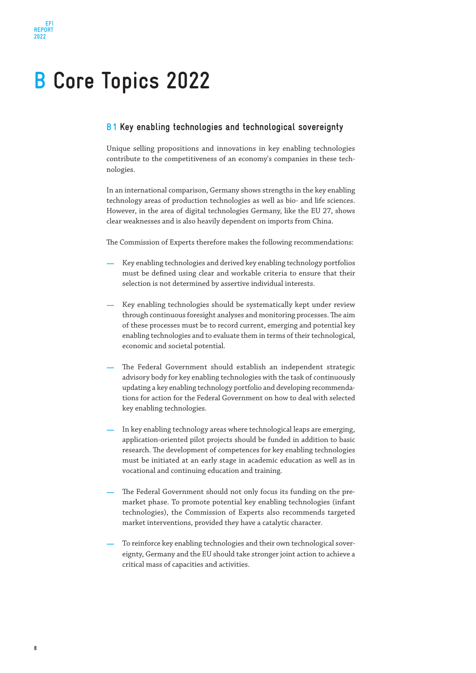### **B Core Topics 2022**

#### **B1 Key enabling technologies and technological sovereignty**

Unique selling propositions and innovations in key enabling technologies contribute to the competitiveness of an economy's companies in these technologies.

In an international comparison, Germany shows strengths in the key enabling technology areas of production technologies as well as bio- and life sciences. However, in the area of digital technologies Germany, like the EU 27, shows clear weaknesses and is also heavily dependent on imports from China.

The Commission of Experts therefore makes the following recommendations:

- **—** Key enabling technologies and derived key enabling technology portfolios must be defined using clear and workable criteria to ensure that their selection is not determined by assertive individual interests.
- Key enabling technologies should be systematically kept under review through continuous foresight analyses and monitoring processes. The aim of these processes must be to record current, emerging and potential key enabling technologies and to evaluate them in terms of their technological, economic and societal potential.
- The Federal Government should establish an independent strategic advisory body for key enabling technologies with the task of continuously updating a key enabling technology portfolio and developing recommendations for action for the Federal Government on how to deal with selected key enabling technologies.
- In key enabling technology areas where technological leaps are emerging, application-oriented pilot projects should be funded in addition to basic research. The development of competences for key enabling technologies must be initiated at an early stage in academic education as well as in vocational and continuing education and training.
- The Federal Government should not only focus its funding on the premarket phase. To promote potential key enabling technologies (infant technologies), the Commission of Experts also recommends targeted market interventions, provided they have a catalytic character.
- **—** To reinforce key enabling technologies and their own technological sovereignty, Germany and the EU should take stronger joint action to achieve a critical mass of capacities and activities.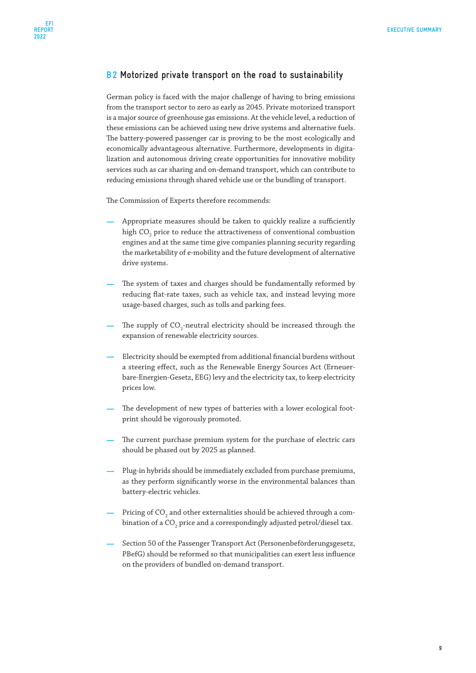#### **B2 Motorized private transport on the road to sustainability**

German policy is faced with the major challenge of having to bring emissions from the transport sector to zero as early as 2045. Private motorized transport is a major source of greenhouse gas emissions. At the vehicle level, a reduction of these emissions can be achieved using new drive systems and alternative fuels. The battery-powered passenger car is proving to be the most ecologically and economically advantageous alternative. Furthermore, developments in digitalization and autonomous driving create opportunities for innovative mobility services such as car sharing and on-demand transport, which can contribute to reducing emissions through shared vehicle use or the bundling of transport.

The Commission of Experts therefore recommends:

- **—** Appropriate measures should be taken to quickly realize a sufficiently high CO $_{\rm _2}$  price to reduce the attractiveness of conventional combustion engines and at the same time give companies planning security regarding the marketability of e-mobility and the future development of alternative drive systems.
- The system of taxes and charges should be fundamentally reformed by reducing flat-rate taxes, such as vehicle tax, and instead levying more usage-based charges, such as tolls and parking fees.
- The supply of CO<sub>2</sub>-neutral electricity should be increased through the expansion of renewable electricity sources.
- **—** Electricity should be exempted from additional financial burdens without a steering effect, such as the Renewable Energy Sources Act (Erneuerbare-Energien-Gesetz, EEG) levy and the electricity tax, to keep electricity prices low.
- The development of new types of batteries with a lower ecological footprint should be vigorously promoted.
- The current purchase premium system for the purchase of electric cars should be phased out by 2025 as planned.
- Plug-in hybrids should be immediately excluded from purchase premiums, as they perform significantly worse in the environmental balances than battery-electric vehicles.
- Pricing of CO<sub>2</sub> and other externalities should be achieved through a combination of a CO<sub>2</sub> price and a correspondingly adjusted petrol/diesel tax.
- **—** Section 50 of the Passenger Transport Act (Personenbeförderungsgesetz, PBefG) should be reformed so that municipalities can exert less influence on the providers of bundled on-demand transport.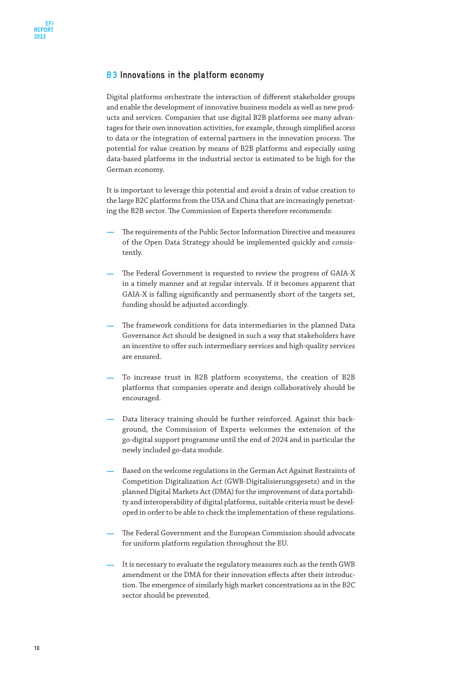#### **B3 Innovations in the platform economy**

Digital platforms orchestrate the interaction of different stakeholder groups and enable the development of innovative business models as well as new products and services. Companies that use digital B2B platforms see many advantages for their own innovation activities, for example, through simplified access to data or the integration of external partners in the innovation process. The potential for value creation by means of B2B platforms and especially using data-based platforms in the industrial sector is estimated to be high for the German economy.

It is important to leverage this potential and avoid a drain of value creation to the large B2C platforms from the USA and China that are increasingly penetrating the B2B sector. The Commission of Experts therefore recommends:

- **—** The requirements of the Public Sector Information Directive and measures of the Open Data Strategy should be implemented quickly and consistently.
- **—** The Federal Government is requested to review the progress of GAIA-X in a timely manner and at regular intervals. If it becomes apparent that GAIA-X is falling significantly and permanently short of the targets set, funding should be adjusted accordingly.
- **—** The framework conditions for data intermediaries in the planned Data Governance Act should be designed in such a way that stakeholders have an incentive to offer such intermediary services and high-quality services are ensured.
- **—** To increase trust in B2B platform ecosystems, the creation of B2B platforms that companies operate and design collaboratively should be encouraged.
- **—** Data literacy training should be further reinforced. Against this background, the Commission of Experts welcomes the extension of the go-digital support programme until the end of 2024 and in particular the newly included go-data module.
- **—** Based on the welcome regulations in the German Act Against Restraints of Competition Digitalization Act (GWB-Digitalisierungsgesetz) and in the planned Digital Markets Act (DMA) for the improvement of data portability and interoperability of digital platforms, suitable criteria must be developed in order to be able to check the implementation of these regulations.
- **—** The Federal Government and the European Commission should advocate for uniform platform regulation throughout the EU.
- It is necessary to evaluate the regulatory measures such as the tenth GWB amendment or the DMA for their innovation effects after their introduction. The emergence of similarly high market concentrations as in the B2C sector should be prevented.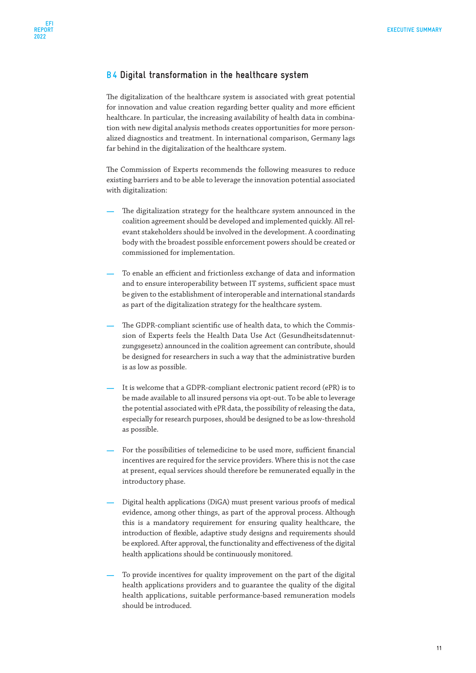#### **B4 Digital transformation in the healthcare system**

The digitalization of the healthcare system is associated with great potential for innovation and value creation regarding better quality and more efficient healthcare. In particular, the increasing availability of health data in combination with new digital analysis methods creates opportunities for more personalized diagnostics and treatment. In international comparison, Germany lags far behind in the digitalization of the healthcare system.

The Commission of Experts recommends the following measures to reduce existing barriers and to be able to leverage the innovation potential associated with digitalization:

- The digitalization strategy for the healthcare system announced in the coalition agreement should be developed and implemented quickly. All relevant stakeholders should be involved in the development. A coordinating body with the broadest possible enforcement powers should be created or commissioned for implementation.
- **—** To enable an efficient and frictionless exchange of data and information and to ensure interoperability between IT systems, sufficient space must be given to the establishment of interoperable and international standards as part of the digitalization strategy for the healthcare system.
- **—** The GDPR-compliant scientific use of health data, to which the Commission of Experts feels the Health Data Use Act (Gesundheitsdatennutzungsgesetz) announced in the coalition agreement can contribute, should be designed for researchers in such a way that the administrative burden is as low as possible.
- It is welcome that a GDPR-compliant electronic patient record (ePR) is to be made available to all insured persons via opt-out. To be able to leverage the potential associated with ePR data, the possibility of releasing the data, especially for research purposes, should be designed to be as low-threshold as possible.
- For the possibilities of telemedicine to be used more, sufficient financial incentives are required for the service providers. Where this is not the case at present, equal services should therefore be remunerated equally in the introductory phase.
- **—** Digital health applications (DiGA) must present various proofs of medical evidence, among other things, as part of the approval process. Although this is a mandatory requirement for ensuring quality healthcare, the introduction of flexible, adaptive study designs and requirements should be explored. After approval, the functionality and effectiveness of the digital health applications should be continuously monitored.
- **—** To provide incentives for quality improvement on the part of the digital health applications providers and to guarantee the quality of the digital health applications, suitable performance-based remuneration models should be introduced.